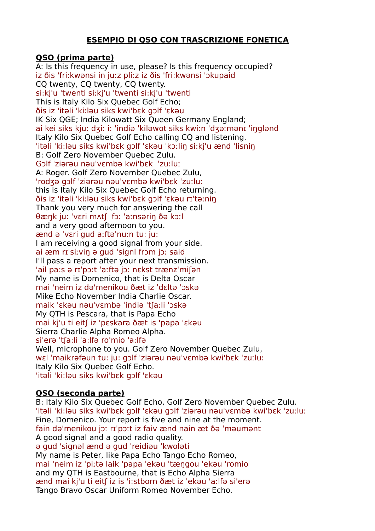## **ESEMPIO DI QSO CON TRASCRIZIONE FONETICA**

## **QSO (prima parte)**

A: Is this frequency in use, please? Is this frequency occupied? iz ðis 'fri:kwənsi in ju:z pli:z iz ðis 'fri:kwənsi 'ɔkupaid CQ twenty, CQ twenty, CQ twenty. si:kj'u 'twenti si:kj'u 'twenti si:kj'u 'twenti This is Italy Kilo Six Quebec Golf Echo; ðis iz 'itəli 'ki:ləu siks kwi'bεk gɔlf 'εkəu IK Six QGE; India Kilowatt Six Queen Germany England; ai kei siks kiu: dʒi: i: 'indiə 'kiləwot siks kwiːn 'dʒəːmənɪ 'inglənd Italy Kilo Six Quebec Golf Echo calling CQ and listening. 'itəli 'ki:ləu siks kwi'bεk gɔlf 'εkəu ˈkɔːliŋ si:kj'u ænd 'lisniŋ B: Golf Zero November Quebec Zulu. Gɔlf ˈziərəu nəuˈvɛmbə kwi'bεk ˈzuːluː A: Roger. Golf Zero November Quebec Zulu, 'rodʒə gɔlf ˈziərəu nəuˈvɛmbə kwi'bεk ˈzuːluː this is Italy Kilo Six Quebec Golf Echo returning. ðis iz 'itəli 'ki:ləu siks kwi'bεk gɔlf 'εkəu rɪˈtəːniŋ Thank you very much for answering the call θæŋk ju: ˈvɛri mʌtʃ fɔː ˈaːnsəriŋ ðə kɔːl and a very good afternoon to you. ænd ə ˈvɛri gud aːftəˈnuːn tu: ju: I am receiving a good signal from your side. ai æm rɪˈsiːviŋ ə gud ˈsignl frɔm jɔː said I'll pass a report after your next transmission. 'ail pa:s ə rɪˈpɔːt ˈaːftə jɔː nɛkst trænzˈmiʃən My name is Domenico, that is Delta Oscar mai 'neim iz də'menikou ðæt iz ˈdɛltə ˈɔskə Mike Echo November India Charlie Oscar. maik 'εkəu nəuˈvɛmbə ˈindiə 'tʃa:li ˈɔskə My QTH is Pescara, that is Papa Echo mai kj'u ti eitʃ iz 'pεskara ðæt is 'papa 'εkəu Sierra Charlie Alpha Romeo Alpha. si'erə 'tʃa:li 'a:lfə ro'mio 'a:lfə Well, microphone to you. Golf Zero November Quebec Zulu, wɛl ˈmaikrəfəun tu: ju: gɔlf ˈziərəu nəuˈvɛmbə kwi'bεk ˈzuːluː Italy Kilo Six Quebec Golf Echo. 'itəli 'ki:ləu siks kwi'bεk gɔlf 'εkəu

# **QSO (seconda parte)**

B: Italy Kilo Six Quebec Golf Echo, Golf Zero November Quebec Zulu. 'itəli 'ki:ləu siks kwi'bεk gɔlf 'εkəu gɔlf ˈziərəu nəuˈvɛmbə kwi'bεk ˈzuːluː Fine, Domenico. Your report is five and nine at the moment. fain də'menikou jɔː rɪˈpɔːt iz faiv ӕnd nain ӕt ðə ˈməumənt A good signal and a good radio quality. ə gud 'signəl ӕnd ə gud ˈreidiəu ˈkwoləti My name is Peter, like Papa Echo Tango Echo Romeo, mai 'neim iz ˈpiːtə laik 'papa ˈekəu ˈtӕŋgou ˈekəu 'romio and my QTH is Eastbourne, that is Echo Alpha Sierra ӕnd mai kj'u ti eitʃ iz is 'i:stborn ðæt iz ˈekəu 'a:lfə si'erə Tango Bravo Oscar Uniform Romeo November Echo.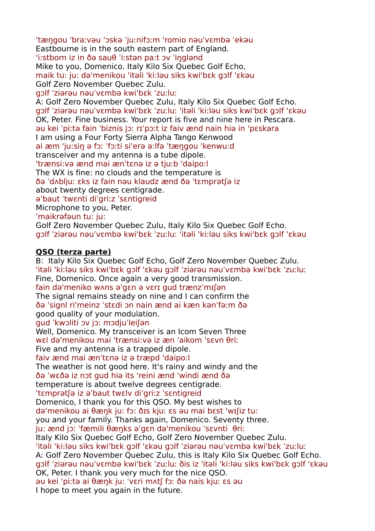ˈtӕŋgou 'braːvəu ˈɔskə ˈjuːnifɔːm 'romio nəuˈvɛmbə ˈekəu Eastbourne is in the south eastern part of England. 'i:stborn iz in ðə sauθ ˈiːstən pa:t ɔv ˈiŋglənd Mike to you, Domenico. Italy Kilo Six Quebec Golf Echo, maik tu: ju: də'menikou 'itəli 'ki:ləu siks kwi'bεk gɔlf 'εkəu Golf Zero November Quebec Zulu. gɔlf ˈziərəu nəuˈvɛmbə kwi'bεk ˈzuːluː A: Golf Zero November Quebec Zulu, Italy Kilo Six Quebec Golf Echo. gɔlf ˈziərəu nəuˈvɛmbə kwi'bεk ˈzuːluː 'itəli 'ki:ləu siks kwi'bεk gɔlf 'εkəu OK, Peter. Fine business. Your report is five and nine here in Pescara. əu kei ˈpiːtə fain ˈbiznis jɔː rɪˈpɔːt iz faiv ӕnd nain hiə in 'pεskara I am using a Four Forty Sierra Alpha Tango Kenwood ai ӕm 'ju:siŋ ə fɔː ˈfɔːti si'erə a:lfə ˈtӕŋgou 'kenwu:d transceiver and my antenna is a tube dipole. 'trænsi:və ӕnd mai ænˈtɛnə iz ə tjuːb 'daipo:l The WX is fine: no clouds and the temperature is ðə ˈdʌbljuː ɛks iz fain nəu klaudz ӕnd ðə ˈtɛmprətʃə iz about twenty degrees centigrade. əˈbaut ˈtwɛnti diˈgriːz ˈsɛntigreid Microphone to you, Peter. ˈmaikrəfəun tu: ju: Golf Zero November Quebec Zulu, Italy Kilo Six Quebec Golf Echo. gɔlf ˈziərəu nəuˈvɛmbə kwi'bεk ˈzuːluː 'itəli 'ki:ləu siks kwi'bεk gɔlf 'εkəu

### **QSO (terza parte)**

B: Italy Kilo Six Quebec Golf Echo, Golf Zero November Quebec Zulu. 'itəli 'ki:ləu siks kwi'bεk gɔlf 'εkəu gɔlf ˈziərəu nəuˈvɛmbə kwi'bεk ˈzuːluː Fine, Domenico. Once again a very good transmission. fain də'meniko wʌns əˈgɛn ə vɛrɪ gud trænzˈmɪʃən The signal remains steady on nine and I can confirm the ðə ˈsignl ri'meinz ˈstɛdi ɔn nain ӕnd ai kæn kənˈfəːm ðə good quality of your modulation. gud ˈkwɔliti ɔv jɔː mɔdjuˈleiʃən Well, Domenico. My transceiver is an Icom Seven Three wɛl də'menikou mai 'trænsi:və iz æn 'aikom ˈsɛvn θriː Five and my antenna is a trapped dipole. faiv ӕnd mai ænˈtɛnə iz ə træpd 'daipo:l The weather is not good here. It's rainy and windy and the ðə ˈwɛðə iz nɔt gud hiə its 'reini ӕnd 'windi ӕnd ðə temperature is about twelve degrees centigrade. ˈtɛmprətʃə iz əˈbaut twɛlv diˈgriːz ˈsɛntigreid Domenico, I thank you for this QSO. My best wishes to də'menikou ai θæŋk ju: fɔ: ðɪs kjuː ɛs əu mai bɛst 'wɪʃiz tu: you and your family. Thanks again, Domenico. Seventy three. ju: ӕnd jɔː ˈfæmili θæŋks əˈgɛn də'menikou ˈsɛvnti θriː Italy Kilo Six Quebec Golf Echo, Golf Zero November Quebec Zulu. 'itəli 'ki:ləu siks kwi'bεk gɔlf 'εkəu gɔlf ˈziərəu nəuˈvɛmbə kwi'bεk ˈzuːluː A: Golf Zero November Quebec Zulu, this is Italy Kilo Six Quebec Golf Echo. gɔlf ˈziərəu nəuˈvɛmbə kwi'bεk ˈzuːluː ðis iz 'itəli 'ki:ləu siks kwi'bεk gɔlf 'εkəu OK, Peter. I thank you very much for the nice QSO. əu kei ˈpiːtə ai θæŋk ju: ˈvɛri mʌtʃ fɔː ðə nais kjuː ɛs əu I hope to meet you again in the future.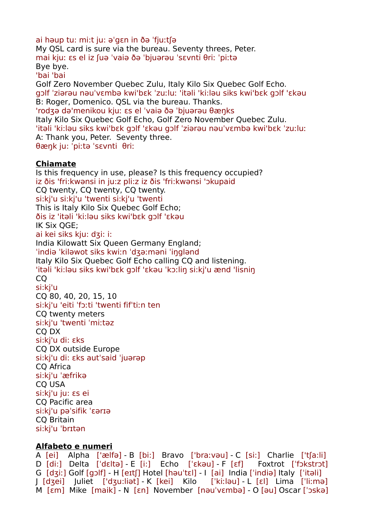ai həup tu: mi:t ju: əˈgɛn in ðə ˈfjuːtʃə My QSL card is sure via the bureau. Seventy threes, Peter. mai kjuː ɛs el iz ʃuə ˈvaiə ðə ˈbjuərəu ˈsɛvnti θriː ˈpiːtə Bye bye. 'bai 'bai Golf Zero November Quebec Zulu, Italy Kilo Six Quebec Golf Echo. gɔlf ˈziərəu nəuˈvɛmbə kwi'bεk ˈzuːluː 'itəli 'ki:ləu siks kwi'bεk gɔlf 'εkəu B: Roger, Domenico. QSL via the bureau. Thanks. 'rodʒə də'menikou kjuː ɛs el ˈvaiə ðə ˈbjuərəu θæŋks Italy Kilo Six Quebec Golf Echo, Golf Zero November Quebec Zulu. 'itəli 'ki:ləu siks kwi'bεk gɔlf 'εkəu gɔlf ˈziərəu nəuˈvɛmbə kwi'bεk ˈzuːluː A: Thank you, Peter. Seventy three. θæŋk ju: ˈpiːtə ˈsɛvnti θriː

## **Chiamate**

Is this frequency in use, please? Is this frequency occupied? iz ðis 'fri:kwənsi in ju:z pli:z iz ðis 'fri:kwənsi 'ɔkupaid CQ twenty, CQ twenty, CQ twenty. si:kj'u si:kj'u 'twenti si:kj'u 'twenti This is Italy Kilo Six Quebec Golf Echo; ðis iz 'itəli 'ki:ləu siks kwi'bεk gɔlf 'εkəu IK Six QGE; ai kei siks kiu: dʒi: i: India Kilowatt Six Queen Germany England; ˈindiə ˈkiləwot siks kwiːn ˈdʒəːməni ˈiŋglənd Italy Kilo Six Quebec Golf Echo calling CQ and listening. 'itəli 'ki:ləu siks kwi'bεk gɔlf 'εkəu ˈkɔːliŋ si:kj'u ænd 'lisniŋ CQ si:kj'u CQ 80, 40, 20, 15, 10 si:kj'u 'eiti ˈfɔːti 'twenti fifˈtiːn ten CQ twenty meters si:kj'u 'twenti ˈmiːtəz CQ DX si:kj'u di: ɛks CQ DX outside Europe si:kj'u di: ɛks autˈsaid ˈjuərəp CQ Africa si:kj'u ˈæfrikə CQ USA si:kj'u ju: ɛs ei CQ Pacific area si:kj'u pəˈsifik ˈɛərɪə CQ Britain si:kj'u ˈbrɪtən

### **Alfabeto e numeri**

A [ei] Alpha ['ælfə] - B [bi:] Bravo ['braːvəu] - C [si:] Charlie ['tʃa:li] D [di:] Delta [ˈdɛltə] - E [i:] Echo [ˈɛkəu] - F [ɛf] Foxtrot [ˈfɔkstrɔt] G [dʒiː] Golf [gɔlf] - H [eɪtʃ] Hotel [həuˈtɛl] - I [ai] India [ˈindiə] Italy [ˈitəli] J [dʒei] Juliet ['dʒu:liət] - K [kei] Kilo [ˈkiːləu] - L [ɛl] Lima [ˈliːmə] M [ɛm] Mike [maik] - N [ɛn] November [nəuˈvɛmbə] - O [əu] Oscar [ˈɔskə]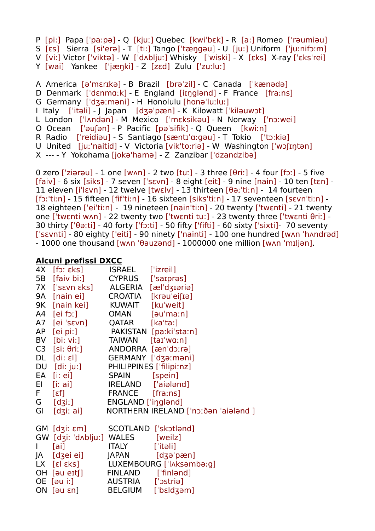P [pi:] Papa [ˈpa:pə] - Q [kjuː] Quebec [kwiˈbɛk] - R [a:] Romeo ['rəumiəu] S [ɛs] Sierra [si'erə] - T [ti:] Tango [ˈtæŋgəu] - U [ju:] Uniform [ˈjuːnifɔːm] V [vi:] Victor [ˈviktə] - W [ˈdʌbljuː] Whisky [ˈwiski] - X [ɛks] X-ray [ˈɛksˈrei] Y [wai] Yankee ['jæŋki] - Z [zɛd] Zulu [ˈzuːluː] A America [əˈmɛrɪkə] - B Brazil [brəˈzil] - C Canada [ˈkænədə] D Denmark [ˈdɛnmɑːk] - E England [iɪŋglənd] - F France [fraːns] G Germany [ˈdʒəːməni] - H Honolulu [honəˈluːluː] I Italy [ˈitəli] - J Japan [dʒəˈpæn] - K Kilowatt [ˈkiləuwɔt]

L London [ˈlʌndən] - M Mexico [ˈmɛksikəu] - N Norway [ˈnɔːwei]

O Ocean [ˈəuʃən] - P Pacific [pəˈsifik] - Q Queen [kwiːn]

R Radio [ˈreidiəu] - S Santiago [sæntɪˈɑːgəu] - T Tokio ['tɔ:kiə]

U United [juːˈnaitid] - V Victoria [vik'to:riə] - W Washington [ˈwɔʃɪŋtən]

X --- - Y Yokohama [jokə'hamə] - Z Zanzibar ['dzandzibə]

0 zero ['ziərəu] - 1 one  $[wan]$  - 2 two  $[tu:]$  - 3 three  $[0ri:]$  - 4 four  $[fo:]$  - 5 five [faiv] - 6 six [siks] - 7 seven [ˈsɛvn] - 8 eight [eit] - 9 nine [nain] - 10 ten [tɛn] - 11 eleven [iˈlɛvn] - 12 twelve [twɛlv] - 13 thirteen [θəːˈtiːn] - 14 fourteen [fɔː'tiːn] - 15 fifteen [fifˈtiːn] - 16 sixteen [siksˈtiːn] - 17 seventeen [sɛvnˈtiːn] - 18 eighteen [ˈeiˈtiːn] - 19 nineteen [nain'ti:n] - 20 twenty [ˈtwɛnti] - 21 twenty one [ˈtwɛnti wʌn] - 22 twenty two [ˈtwɛnti tu:] - 23 twenty three [ˈtwɛnti θriː] - 30 thirty [ˈθəːti] - 40 forty [ˈfɔːti] - 50 fifty ['fifti] - 60 sixty ['sixti]- 70 seventy [ˈsɛvnti] - 80 eighty ['eiti] - 90 ninety ['nainti] - 100 one hundred [wʌn ˈhʌndrəd] - 1000 one thousand [wʌn ˈθauzənd] - 1000000 one million [wʌn ˈmɪljən].

## **Alcuni prefissi DXCC**

| 4X [fɔː ɛks]                          | ISRAEL ['izreil] |                                      |
|---------------------------------------|------------------|--------------------------------------|
| 5B [faiv bi:] CYPRUS ['saɪprəs]       |                  |                                      |
| 7X ['sενη εks] ALGERIA [æl'dʒɪəriə]   |                  |                                      |
| 9A [nain ei] CROATIA [krau'eifia]     |                  |                                      |
| 9K [nain kei] KUWAIT [ku'weit]        |                  |                                      |
| A4 [ei fɔː] OMAN [əu'maːn]            |                  |                                      |
| A7 [ei 'sενn] QATAR [ka'ta:]          |                  |                                      |
| AP [ei pi:] PAKISTAN [paːkiˈstaːn]    |                  |                                      |
| BV [bi: vi:] TAIWAN [taɪ'wɑːn]        |                  |                                      |
| C3 [si: θri:] ANDORRA [æn'dɔːrə]      |                  |                                      |
| DL [di: ɛl] GERMANY ['dʒəːməni]       |                  |                                      |
| DU [di: ju:] PHILIPPINES ['filipi:nz] |                  |                                      |
| EA [i: ei]                            | SPAIN [spein]    |                                      |
| El [i: ai] IRELAND ['aialand]         |                  |                                      |
| F [εf] FRANCE [fraːns]                |                  |                                      |
| G [dʒiː] ENGLAND ['iŋglənd]           |                  |                                      |
| GI [dʒiː ai]                          |                  | NORTHERN IRELAND ['nɔːðən 'aiələnd ] |
|                                       |                  |                                      |
| GM [dʒiː ɛm] SCOTLAND ['skɔtlənd]     |                  |                                      |
| GW [dʒiː ˈdʌbljuː] WALES [weilz]      |                  |                                      |
| $\mathsf{I}$ [ai]                     | ITALY ['itəli]   |                                      |
| JA [dʒei ei] JAPAN [dʒəˈpæn]          |                  |                                      |
|                                       |                  | LX [ɛl ɛks] LUXEMBOURG ['lʌksəmbəːg] |
| OH [au eɪtʃ] FINLAND ['finland]       |                  |                                      |
| OE [au i:] AUSTRIA ['ɔstria]          |                  |                                      |
| ON [au εn] BELGIUM ['bεldʒam]         |                  |                                      |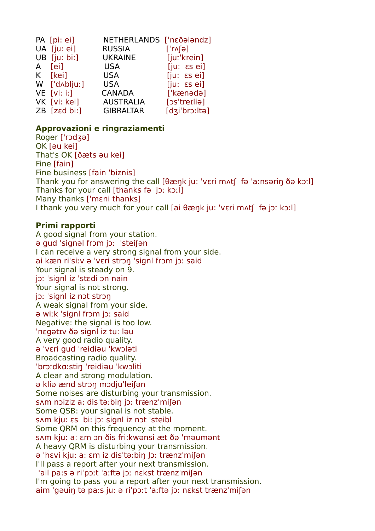| PA [pi: ei]    | NETHERLANDS ['nεδalandz] |                             |
|----------------|--------------------------|-----------------------------|
| UA [ju: ei]    | <b>RUSSIA</b>            | $[\cdot \wedge \cdot]$      |
| $UB$ [ju: bi:] | <b>UKRAINE</b>           | [juːˈkrein]                 |
| A [ei]         | USA                      | $[ju: \; \epsilon s \; ei]$ |
| K [kei]        | USA                      | $[ju: \; \epsilon s \; ei]$ |
| W ['dʌbljuː]   | <b>USA</b>               | $[iu: \epsilon s e]$        |
| $VE$ [vi: i:]  | <b>CANADA</b>            | ['kænədə]                   |
| VK [vi: kei]   | <b>AUSTRALIA</b>         | [os'treilia]                |
| ZB [zɛd bi:]   | <b>GIBRALTAR</b>         | [dʒi'brɔːltə]               |

### **Approvazioni e ringraziamenti**

Roger ['rɔdʒə] OK [əu kei] That's OK [ðæts əu kei] Fine [fain] Fine business [fain ˈbiznis] Thank you for answering the call [θæŋk ju: ˈvɛri mʌtʃ fə ˈaːnsəriŋ ðə kɔːl] Thanks for your call [thanks fə jɔː kɔːl] Many thanks [ˈmɛni thanks] I thank you very much for your call [ai θæŋk ju: ˈvɛri mʌtʃ fə jɔː kɔːl]

## **Primi rapporti**

A good signal from your station. ə gud 'signəl frɔm jɔː ˈsteiʃən I can receive a very strong signal from your side. ai kæn riˈsiːv ə ˈvɛri strɔŋ ˈsignl frɔm jɔː said Your signal is steady on 9. jɔː ˈsignl iz ˈstɛdi ɔn nain Your signal is not strong. jɔː ˈsignl iz nɔt strɔŋ A weak signal from your side. ə wiːk ˈsignl frɔm jɔː said Negative: the signal is too low. ˈnɛgətɪv ðə signl iz tu: ləu A very good radio quality. ə ˈvɛri gud ˈreidiəu ˈkwɔləti Broadcasting radio quality. ˈbrɔːdkɑːstiŋ ˈreidiəu ˈkwɔliti A clear and strong modulation. ə kliə ӕnd strɔŋ mɔdjuˈleiʃən Some noises are disturbing your transmission. sʌm nɔiziz a: disˈtəːbiŋ jɔː trænzˈmiʃən Some QSB: your signal is not stable. sʌm kju: ɛs bi: jɔː signl iz nɔt ˈsteibl Some QRM on this frequency at the moment. sʌm kju: a: ɛm ɔn ðis fri:kwənsi æt ðə ˈməumənt A heavy QRM is disturbing your transmission. ə ˈhɛvi kju: a: ɛm iz disˈtəːbiŋ Jɔː trænzˈmiʃən I'll pass a report after your next transmission. 'ail pa:s ə riˈpɔːt ˈaːftə jɔː nɛkst trænzˈmiʃən I'm going to pass you a report after your next transmission. aim ˈgəuiŋ tə pa:s ju: ə riˈpɔːt ˈaːftə jɔː nɛkst trænzˈmiʃən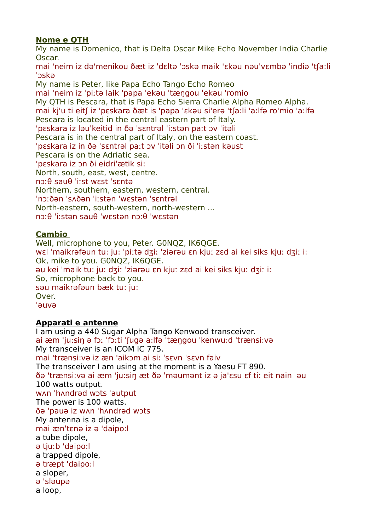# **Nome e QTH**

My name is Domenico, that is Delta Oscar Mike Echo November India Charlie Oscar.

mai 'neim iz də'menikou ðæt iz ˈdɛltə ˈɔskə maik 'εkəu nəuˈvɛmbə ˈindiə 'tʃa:li ˈɔskə

My name is Peter, like Papa Echo Tango Echo Romeo mai 'neim iz ˈpiːtə laik 'papa ˈekəu ˈtӕŋgou ˈekəu 'romio My QTH is Pescara, that is Papa Echo Sierra Charlie Alpha Romeo Alpha. mai kj'u ti eitʃ iz 'pεskara ðæt is 'papa 'εkəu si'erə 'tʃa:li 'a:lfə ro'mio 'a:lfə Pescara is located in the central eastern part of Italy. 'pεskara iz ləuˈkeitid in ðə ˈsɛntrəl ˈiːstən paːt ɔv ˈitəli Pescara is in the central part of Italy, on the eastern coast. 'pεskara iz in ðə ˈsɛntrəl paːt ɔv ˈitəli ɔn ði ˈiːstən kəust Pescara is on the Adriatic sea. 'pεskara iz ɔn ði eidriˈætik si: North, south, east, west, centre. nɔːθ sauθ ˈiːst wɛst ˈsɛntə Northern, southern, eastern, western, central. ˈnɔːðən ˈsʌðən ˈiːstən ˈwɛstən ˈsɛntrəl North-eastern, south-western, north-western ... nɔːθ ˈiːstən sauθ ˈwɛstən nɔːθ ˈwɛstən

# **Cambio**

Well, microphone to you, Peter. G0NQZ, IK6QGE. wɛl ˈmaikrəfəun tu: ju: ˈpiːtə dʒiː ˈziərəu ɛn kjuː zɛd ai kei siks kjuː dʒiː i: Ok, mike to you. G0NQZ, IK6QGE. əu kei ˈmaik tu: ju: dʒiː ˈziərəu ɛn kjuː zɛd ai kei siks kjuː dʒiː i: So, microphone back to you. səu maikrəfəun bæk tu: ju: Over. ˈəuvə

# **Apparati e antenne**

I am using a 440 Sugar Alpha Tango Kenwood transceiver. ai ӕm 'ju:siŋ ə fɔː ˈfɔːti ˈʃugə a:lfə ˈtӕŋgou 'kenwu:d 'trænsi:və My transceiver is an ICOM IC 775. mai 'trænsi:və iz æn 'aikɔm ai si: ˈsɛvn ˈsɛvn faiv The transceiver I am using at the moment is a Yaesu FT 890. ðə 'trænsi:və ai ӕm 'ju:siŋ æt ðə ˈməumənt iz ə ja'ɛsu ɛf ti: eit nain əu 100 watts output. wʌn ˈhʌndrəd wɔts ˈautput The power is 100 watts. ðə ˈpauə iz wʌn ˈhʌndrəd wɔts My antenna is a dipole, mai ænˈtɛnə iz ə 'daipo:l a tube dipole, ə tjuːb 'daipo:l a trapped dipole, ə træpt 'daipo:l a sloper, ə 'sləupə a loop,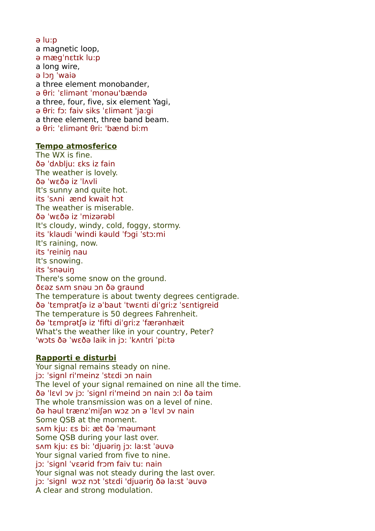- ə lu:p
- a magnetic loop,
- ə mægˈnɛtɪk lu:p
- a long wire,
- ə lɔŋ ˈwaiə
- a three element monobander,
- ə θriː ˈɛlimənt ˈmonəu'bændə
- a three, four, five, six element Yagi,
- ə θriː fɔː faiv siks ˈɛlimənt 'ja:gi
- a three element, three band beam.
- ə θriː ˈɛlimənt θriː 'bænd bi:m

#### **Tempo atmosferico**

The WX is fine. ðə ˈdʌbljuː ɛks iz fain The weather is lovely. ðə ˈwɛðə iz ˈlʌvli It's sunny and quite hot. its ˈsʌni ӕnd kwait hɔt The weather is miserable. ðə ˈwɛðə iz ˈmizərəbl It's cloudy, windy, cold, foggy, stormy. its ˈklaudi 'windi kəuld ˈfɔgi ˈstɔːmi It's raining, now. its 'reiniŋ nau It's snowing. its 'snəuiŋ There's some snow on the ground. ðɛəz sʌm snəu ɔn ðə graund The temperature is about twenty degrees centigrade. ðə ˈtɛmprətʃə iz əˈbaut ˈtwɛnti diˈgriːz ˈsɛntigreid The temperature is 50 degrees Fahrenheit. ðə ˈtɛmprətʃə iz 'fifti diˈgriːz ˈfӕrənhӕit What's the weather like in your country, Peter? 'wɔts ðə ˈwɛðə laik in jɔ: ˈkʌntri ˈpiːtə

### **Rapporti e disturbi**

Your signal remains steady on nine. jɔː ˈsignl ri'meinz ˈstɛdi ɔn nain The level of your signal remained on nine all the time. ðə ˈlɛvl ɔv jɔː ˈsignl ri'meind ɔn nain ɔːl ðə taim The whole transmission was on a level of nine. ðə həul trænzˈmiʃən wɔz ɔn ə ˈlɛvl ɔv nain Some QSB at the moment. sʌm kju: ɛs bi: ӕt ðə ˈməumənt Some QSB during your last over. sʌm kju: ɛs bi: 'djuəriŋ jɔː la:st ˈəuvə Your signal varied from five to nine. jɔː ˈsignl ˈvɛərid frɔm faiv tu: nain Your signal was not steady during the last over. jɔː ˈsignl wɔz nɔt ˈstɛdi 'djuəriŋ ðə la:st ˈəuvə A clear and strong modulation.